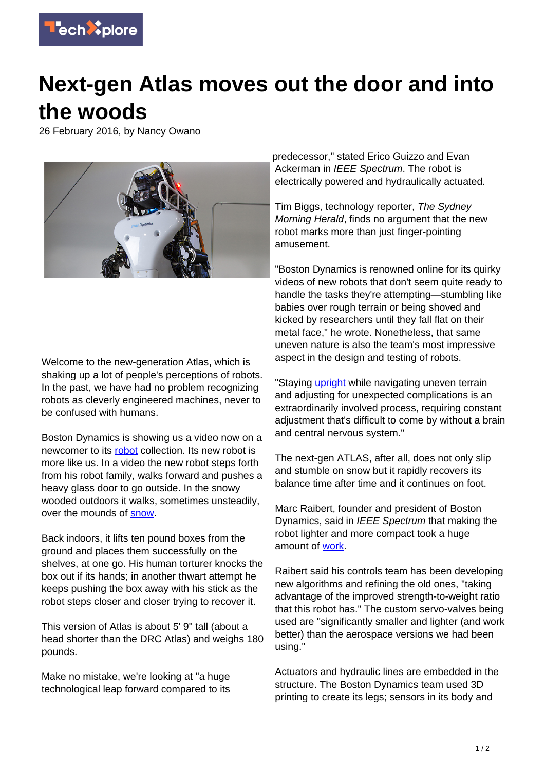

## **Next-gen Atlas moves out the door and into the woods**

26 February 2016, by Nancy Owano



Welcome to the new-generation Atlas, which is shaking up a lot of people's perceptions of robots. In the past, we have had no problem recognizing robots as cleverly engineered machines, never to be confused with humans.

Boston Dynamics is showing us a video now on a newcomer to its [robot](https://techxplore.com/tags/robot/) collection. Its new robot is more like us. In a video the new robot steps forth from his robot family, walks forward and pushes a heavy glass door to go outside. In the snowy wooded outdoors it walks, sometimes unsteadily, over the mounds of [snow](https://www.youtube.com/watch?v=rVlhMGQgDkY).

Back indoors, it lifts ten pound boxes from the ground and places them successfully on the shelves, at one go. His human torturer knocks the box out if its hands; in another thwart attempt he keeps pushing the box away with his stick as the robot steps closer and closer trying to recover it.

This version of Atlas is about 5' 9" tall (about a head shorter than the DRC Atlas) and weighs 180 pounds.

Make no mistake, we're looking at "a huge technological leap forward compared to its predecessor," stated Erico Guizzo and Evan Ackerman in IEEE Spectrum. The robot is electrically powered and hydraulically actuated.

Tim Biggs, technology reporter, The Sydney Morning Herald, finds no argument that the new robot marks more than just finger-pointing amusement.

"Boston Dynamics is renowned online for its quirky videos of new robots that don't seem quite ready to handle the tasks they're attempting—stumbling like babies over rough terrain or being shoved and kicked by researchers until they fall flat on their metal face," he wrote. Nonetheless, that same uneven nature is also the team's most impressive aspect in the design and testing of robots.

"Staying [upright](http://www.smh.com.au/technology/innovation/new-atlas-robot-from-googles-boston-dynamics-shows-off-humanlike-qualities-20160224-gn33hc.html) while navigating uneven terrain and adjusting for unexpected complications is an extraordinarily involved process, requiring constant adjustment that's difficult to come by without a brain and central nervous system."

The next-gen ATLAS, after all, does not only slip and stumble on snow but it rapidly recovers its balance time after time and it continues on foot.

Marc Raibert, founder and president of Boston Dynamics, said in IEEE Spectrum that making the robot lighter and more compact took a huge amount of [work.](http://spectrum.ieee.org/automaton/robotics/humanoids/boston-dynamics-marc-raibert-on-nextgen-atlas)

Raibert said his controls team has been developing new algorithms and refining the old ones, "taking advantage of the improved strength-to-weight ratio that this robot has." The custom servo-valves being used are "significantly smaller and lighter (and work better) than the aerospace versions we had been using."

Actuators and hydraulic lines are embedded in the structure. The Boston Dynamics team used 3D printing to create its legs; sensors in its body and